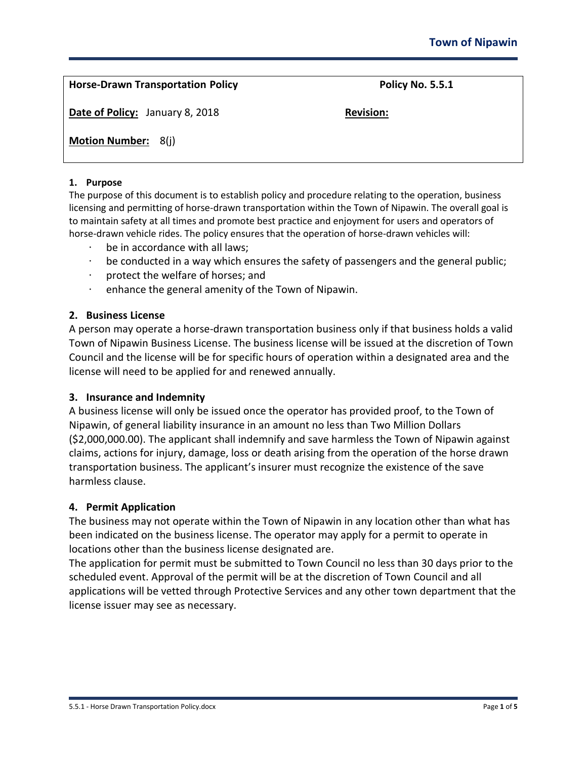| <b>Horse-Drawn Transportation Policy</b> | <b>Policy No. 5.5.1</b> |
|------------------------------------------|-------------------------|
| <b>Date of Policy:</b> January 8, 2018   | <b>Revision:</b>        |
| <b>Motion Number: 8(j)</b>               |                         |

#### **1. Purpose**

The purpose of this document is to establish policy and procedure relating to the operation, business licensing and permitting of horse-drawn transportation within the Town of Nipawin. The overall goal is to maintain safety at all times and promote best practice and enjoyment for users and operators of horse-drawn vehicle rides. The policy ensures that the operation of horse-drawn vehicles will:

- · be in accordance with all laws;
- · be conducted in a way which ensures the safety of passengers and the general public;
- · protect the welfare of horses; and
- · enhance the general amenity of the Town of Nipawin.

#### **2. Business License**

A person may operate a horse-drawn transportation business only if that business holds a valid Town of Nipawin Business License. The business license will be issued at the discretion of Town Council and the license will be for specific hours of operation within a designated area and the license will need to be applied for and renewed annually.

#### **3. Insurance and Indemnity**

A business license will only be issued once the operator has provided proof, to the Town of Nipawin, of general liability insurance in an amount no less than Two Million Dollars (\$2,000,000.00). The applicant shall indemnify and save harmless the Town of Nipawin against claims, actions for injury, damage, loss or death arising from the operation of the horse drawn transportation business. The applicant's insurer must recognize the existence of the save harmless clause.

#### **4. Permit Application**

The business may not operate within the Town of Nipawin in any location other than what has been indicated on the business license. The operator may apply for a permit to operate in locations other than the business license designated are.

The application for permit must be submitted to Town Council no less than 30 days prior to the scheduled event. Approval of the permit will be at the discretion of Town Council and all applications will be vetted through Protective Services and any other town department that the license issuer may see as necessary.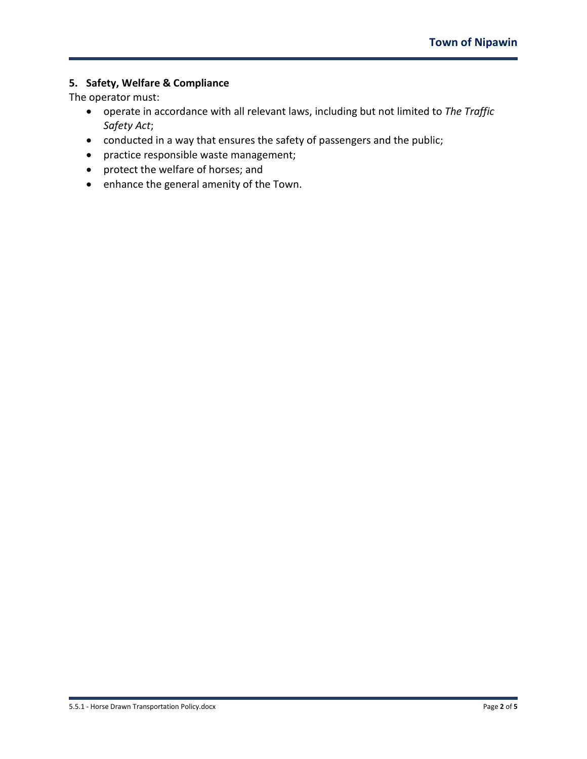## **5. Safety, Welfare & Compliance**

The operator must:

- operate in accordance with all relevant laws, including but not limited to *The Traffic Safety Act*;
- conducted in a way that ensures the safety of passengers and the public;
- practice responsible waste management;
- protect the welfare of horses; and
- enhance the general amenity of the Town.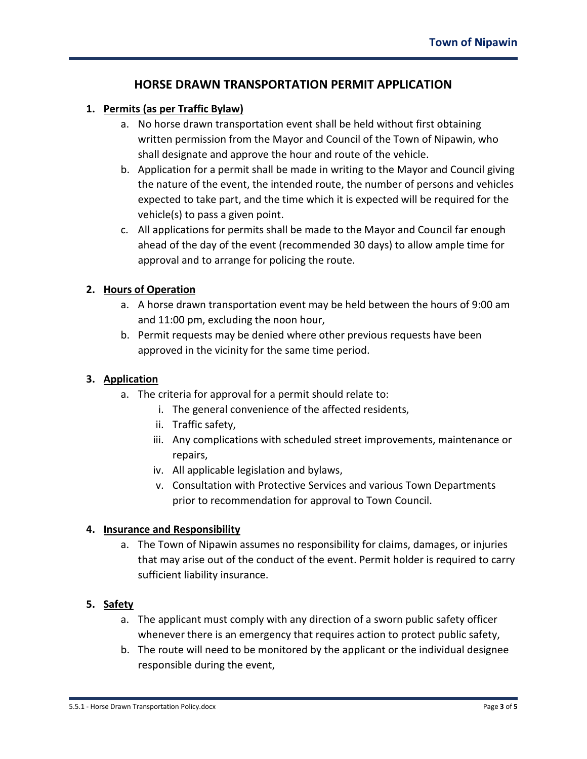## **HORSE DRAWN TRANSPORTATION PERMIT APPLICATION**

### **1. Permits (as per Traffic Bylaw)**

- a. No horse drawn transportation event shall be held without first obtaining written permission from the Mayor and Council of the Town of Nipawin, who shall designate and approve the hour and route of the vehicle.
- b. Application for a permit shall be made in writing to the Mayor and Council giving the nature of the event, the intended route, the number of persons and vehicles expected to take part, and the time which it is expected will be required for the vehicle(s) to pass a given point.
- c. All applications for permits shall be made to the Mayor and Council far enough ahead of the day of the event (recommended 30 days) to allow ample time for approval and to arrange for policing the route.

### **2. Hours of Operation**

- a. A horse drawn transportation event may be held between the hours of 9:00 am and 11:00 pm, excluding the noon hour,
- b. Permit requests may be denied where other previous requests have been approved in the vicinity for the same time period.

### **3. Application**

- a. The criteria for approval for a permit should relate to:
	- i. The general convenience of the affected residents,
	- ii. Traffic safety,
	- iii. Any complications with scheduled street improvements, maintenance or repairs,
	- iv. All applicable legislation and bylaws,
	- v. Consultation with Protective Services and various Town Departments prior to recommendation for approval to Town Council.

### **4. Insurance and Responsibility**

a. The Town of Nipawin assumes no responsibility for claims, damages, or injuries that may arise out of the conduct of the event. Permit holder is required to carry sufficient liability insurance.

### **5. Safety**

- a. The applicant must comply with any direction of a sworn public safety officer whenever there is an emergency that requires action to protect public safety,
- b. The route will need to be monitored by the applicant or the individual designee responsible during the event,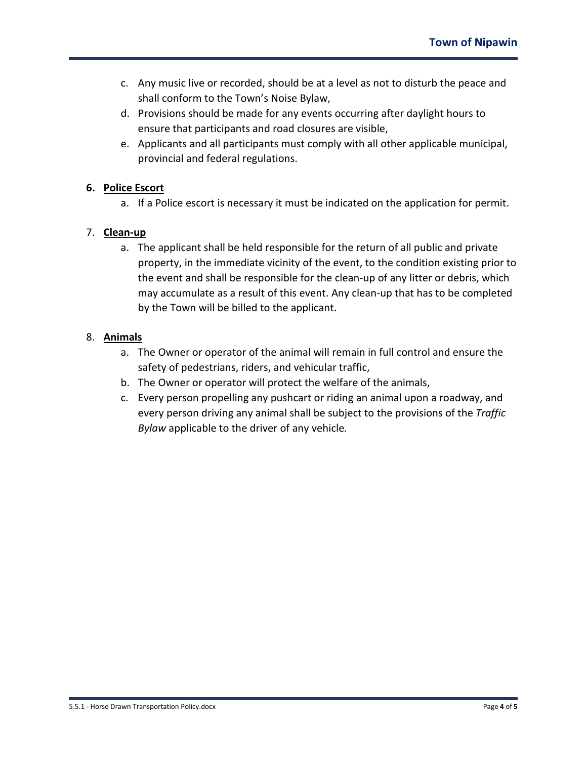- c. Any music live or recorded, should be at a level as not to disturb the peace and shall conform to the Town's Noise Bylaw,
- d. Provisions should be made for any events occurring after daylight hours to ensure that participants and road closures are visible,
- e. Applicants and all participants must comply with all other applicable municipal, provincial and federal regulations.

## **6. Police Escort**

a. If a Police escort is necessary it must be indicated on the application for permit.

## 7. **Clean-up**

a. The applicant shall be held responsible for the return of all public and private property, in the immediate vicinity of the event, to the condition existing prior to the event and shall be responsible for the clean-up of any litter or debris, which may accumulate as a result of this event. Any clean-up that has to be completed by the Town will be billed to the applicant.

## 8. **Animals**

- a. The Owner or operator of the animal will remain in full control and ensure the safety of pedestrians, riders, and vehicular traffic,
- b. The Owner or operator will protect the welfare of the animals,
- c. Every person propelling any pushcart or riding an animal upon a roadway, and every person driving any animal shall be subject to the provisions of the *Traffic Bylaw* applicable to the driver of any vehicle*.*